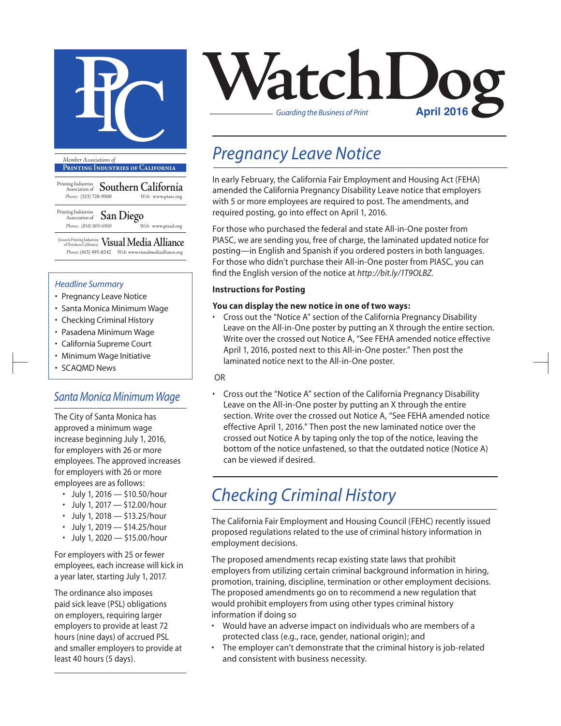

**Printing Industries of California**

Printing Industries Association of **Southern California** *Phone:* (323) 728-9500 *Web:* www.piasc.org

Printing Industries Association of **San Diego** *Phone: (858) 800-6900 Web:* www.piasd.org

(formerly Printing Industries of Northern California) **Visual Media Alliance** *Phone:* (415) 495-8242 *Web:* www.visualmediaalliance.org

#### *Headline Summary*

- Pregnancy Leave Notice
- Santa Monica Minimum Wage
- Checking Criminal History
- Pasadena Minimum Wage
- California Supreme Court
- Minimum Wage Initiative
- SCAQMD News

### *Santa Monica Minimum Wage*

The City of Santa Monica has approved a minimum wage increase beginning July 1, 2016, for employers with 26 or more employees. The approved increases for employers with 26 or more employees are as follows:

- July 1, 2016 \$10.50/hour
- July 1, 2017  $-$  \$12.00/hour
- July 1, 2018  $-$  \$13.25/hour
- July 1, 2019 \$14.25/hour
- July 1, 2020 \$15.00/hour

For employers with 25 or fewer employees, each increase will kick in a year later, starting July 1, 2017.

The ordinance also imposes paid sick leave (PSL) obligations on employers, requiring larger employers to provide at least 72 hours (nine days) of accrued PSL and smaller employers to provide at least 40 hours (5 days).



### *Pregnancy Leave Notice*

In early February, the California Fair Employment and Housing Act (FEHA) amended the California Pregnancy Disability Leave notice that employers with 5 or more employees are required to post. The amendments, and required posting, go into effect on April 1, 2016.

For those who purchased the federal and state All-in-One poster from PIASC, we are sending you, free of charge, the laminated updated notice for posting—in English and Spanish if you ordered posters in both languages. For those who didn't purchase their All-in-One poster from PIASC, you can find the English version of the notice at *http://bit.ly/1T9OLBZ*.

#### **Instructions for Posting**

#### **You can display the new notice in one of two ways:**

• Cross out the "Notice A" section of the California Pregnancy Disability Leave on the All-in-One poster by putting an X through the entire section. Write over the crossed out Notice A, "See FEHA amended notice effective April 1, 2016, posted next to this All-in-One poster." Then post the laminated notice next to the All-in-One poster.

#### OR

• Cross out the "Notice A" section of the California Pregnancy Disability Leave on the All-in-One poster by putting an X through the entire section. Write over the crossed out Notice A, "See FEHA amended notice effective April 1, 2016." Then post the new laminated notice over the crossed out Notice A by taping only the top of the notice, leaving the bottom of the notice unfastened, so that the outdated notice (Notice A) can be viewed if desired.

### *Checking Criminal History*

The California Fair Employment and Housing Council (FEHC) recently issued proposed regulations related to the use of criminal history information in employment decisions.

The proposed amendments recap existing state laws that prohibit employers from utilizing certain criminal background information in hiring, promotion, training, discipline, termination or other employment decisions. The proposed amendments go on to recommend a new regulation that would prohibit employers from using other types criminal history information if doing so

- Would have an adverse impact on individuals who are members of a protected class (e.g., race, gender, national origin); and
- The employer can't demonstrate that the criminal history is job-related and consistent with business necessity.